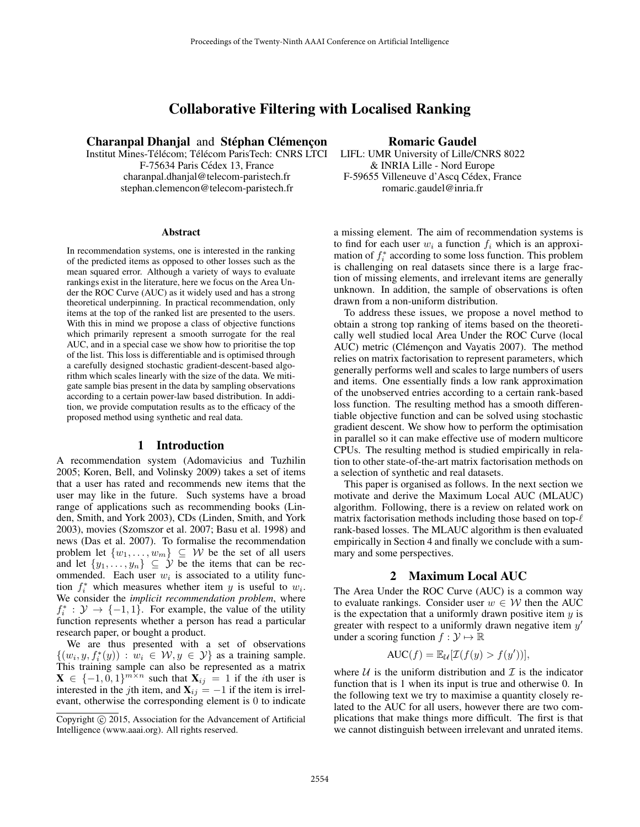# Collaborative Filtering with Localised Ranking

Charanpal Dhanjal and Stéphan Clémençon

Institut Mines-Télécom; Télécom ParisTech: CNRS LTCI F-75634 Paris Cédex 13, France charanpal.dhanjal@telecom-paristech.fr stephan.clemencon@telecom-paristech.fr

#### Abstract

In recommendation systems, one is interested in the ranking of the predicted items as opposed to other losses such as the mean squared error. Although a variety of ways to evaluate rankings exist in the literature, here we focus on the Area Under the ROC Curve (AUC) as it widely used and has a strong theoretical underpinning. In practical recommendation, only items at the top of the ranked list are presented to the users. With this in mind we propose a class of objective functions which primarily represent a smooth surrogate for the real AUC, and in a special case we show how to prioritise the top of the list. This loss is differentiable and is optimised through a carefully designed stochastic gradient-descent-based algorithm which scales linearly with the size of the data. We mitigate sample bias present in the data by sampling observations according to a certain power-law based distribution. In addition, we provide computation results as to the efficacy of the proposed method using synthetic and real data.

### 1 Introduction

A recommendation system (Adomavicius and Tuzhilin 2005; Koren, Bell, and Volinsky 2009) takes a set of items that a user has rated and recommends new items that the user may like in the future. Such systems have a broad range of applications such as recommending books (Linden, Smith, and York 2003), CDs (Linden, Smith, and York 2003), movies (Szomszor et al. 2007; Basu et al. 1998) and news (Das et al. 2007). To formalise the recommendation problem let  $\{w_1, \ldots, w_m\} \subseteq W$  be the set of all users and let  $\{y_1, \ldots, y_n\} \subseteq \mathcal{Y}$  be the items that can be recommended. Each user  $w_i$  is associated to a utility function  $f_i^*$  which measures whether item y is useful to  $w_i$ . We consider the *implicit recommendation problem*, where  $f_i^* : \mathcal{Y} \to \{-1, 1\}$ . For example, the value of the utility function represents whether a person has read a particular research paper, or bought a product.

We are thus presented with a set of observations  $\{(w_i, y, f_i^*(y)) : w_i \in \mathcal{W}, y \in \mathcal{Y}\}\$ as a training sample. This training sample can also be represented as a matrix  $\mathbf{X} \in \{-1, 0, 1\}^{m \times n}$  such that  $\mathbf{X}_{ij} = 1$  if the *i*th user is interested in the jth item, and  $X_{ij} = -1$  if the item is irrelevant, otherwise the corresponding element is 0 to indicate

## Romaric Gaudel

LIFL: UMR University of Lille/CNRS 8022 & INRIA Lille - Nord Europe F-59655 Villeneuve d'Ascq Cédex, France romaric.gaudel@inria.fr

a missing element. The aim of recommendation systems is to find for each user  $w_i$  a function  $f_i$  which is an approximation of  $f_i^*$  according to some loss function. This problem is challenging on real datasets since there is a large fraction of missing elements, and irrelevant items are generally unknown. In addition, the sample of observations is often drawn from a non-uniform distribution.

To address these issues, we propose a novel method to obtain a strong top ranking of items based on the theoretically well studied local Area Under the ROC Curve (local AUC) metric (Clémencon and Vayatis 2007). The method relies on matrix factorisation to represent parameters, which generally performs well and scales to large numbers of users and items. One essentially finds a low rank approximation of the unobserved entries according to a certain rank-based loss function. The resulting method has a smooth differentiable objective function and can be solved using stochastic gradient descent. We show how to perform the optimisation in parallel so it can make effective use of modern multicore CPUs. The resulting method is studied empirically in relation to other state-of-the-art matrix factorisation methods on a selection of synthetic and real datasets.

This paper is organised as follows. In the next section we motivate and derive the Maximum Local AUC (MLAUC) algorithm. Following, there is a review on related work on matrix factorisation methods including those based on top- $\ell$ rank-based losses. The MLAUC algorithm is then evaluated empirically in Section 4 and finally we conclude with a summary and some perspectives.

## 2 Maximum Local AUC

The Area Under the ROC Curve (AUC) is a common way to evaluate rankings. Consider user  $w \in W$  then the AUC is the expectation that a uniformly drawn positive item  $y$  is greater with respect to a uniformly drawn negative item  $y'$ under a scoring function  $f : \mathcal{Y} \mapsto \mathbb{R}$ 

$$
\text{AUC}(f) = \mathbb{E}_{\mathcal{U}}[\mathcal{I}(f(y) > f(y'))],
$$

where  $U$  is the uniform distribution and  $I$  is the indicator function that is 1 when its input is true and otherwise 0. In the following text we try to maximise a quantity closely related to the AUC for all users, however there are two complications that make things more difficult. The first is that we cannot distinguish between irrelevant and unrated items.

Copyright (c) 2015, Association for the Advancement of Artificial Intelligence (www.aaai.org). All rights reserved.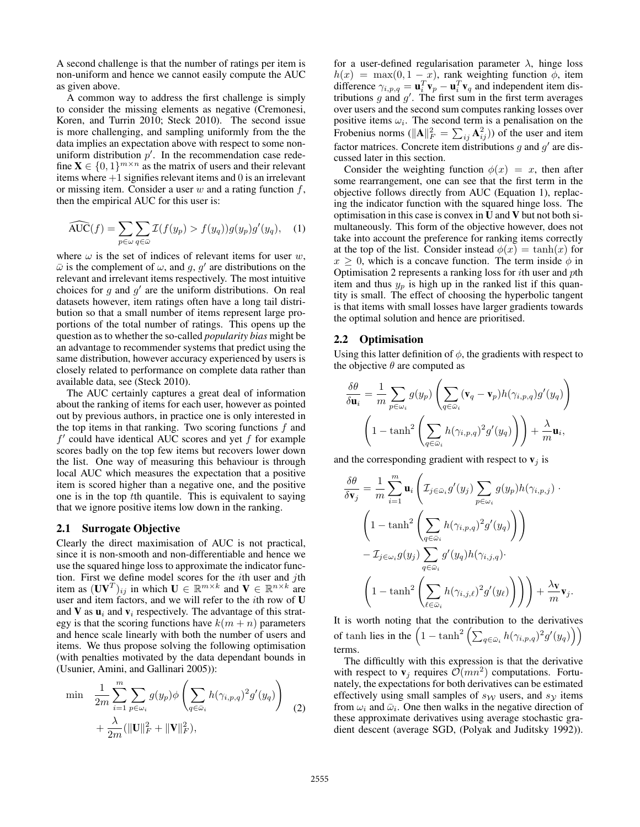A second challenge is that the number of ratings per item is non-uniform and hence we cannot easily compute the AUC as given above.

A common way to address the first challenge is simply to consider the missing elements as negative (Cremonesi, Koren, and Turrin 2010; Steck 2010). The second issue is more challenging, and sampling uniformly from the the data implies an expectation above with respect to some nonuniform distribution  $p'$ . In the recommendation case redefine  $\mathbf{X} \in \{0,1\}^{m \times n}$  as the matrix of users and their relevant items where  $+1$  signifies relevant items and 0 is an irrelevant or missing item. Consider a user  $w$  and a rating function  $f$ , then the empirical AUC for this user is:

$$
\widehat{\text{AUC}}(f) = \sum_{p \in \omega} \sum_{q \in \overline{\omega}} \mathcal{I}(f(y_p) > f(y_q))g(y_p)g'(y_q), \quad (1)
$$

where  $\omega$  is the set of indices of relevant items for user w,  $\bar{\omega}$  is the complement of  $\omega$ , and g, g' are distributions on the relevant and irrelevant items respectively. The most intuitive choices for  $g$  and  $g'$  are the uniform distributions. On real datasets however, item ratings often have a long tail distribution so that a small number of items represent large proportions of the total number of ratings. This opens up the question as to whether the so-called *popularity bias* might be an advantage to recommender systems that predict using the same distribution, however accuracy experienced by users is closely related to performance on complete data rather than available data, see (Steck 2010).

The AUC certainly captures a great deal of information about the ranking of items for each user, however as pointed out by previous authors, in practice one is only interested in the top items in that ranking. Two scoring functions  $f$  and  $f'$  could have identical AUC scores and yet  $f$  for example scores badly on the top few items but recovers lower down the list. One way of measuring this behaviour is through local AUC which measures the expectation that a positive item is scored higher than a negative one, and the positive one is in the top tth quantile. This is equivalent to saying that we ignore positive items low down in the ranking.

## 2.1 Surrogate Objective

Clearly the direct maximisation of AUC is not practical, since it is non-smooth and non-differentiable and hence we use the squared hinge loss to approximate the indicator function. First we define model scores for the *i*th user and *j*th item as  $({\bf U} {\bf V}^T)_{ij}$  in which  ${\bf U} \in \mathbb{R}^{m \times k}$  and  ${\bf V} \in \mathbb{R}^{n \times k}$  are user and item factors, and we will refer to the ith row of U and V as  $\mathbf{u}_i$  and  $\mathbf{v}_i$  respectively. The advantage of this strategy is that the scoring functions have  $k(m + n)$  parameters and hence scale linearly with both the number of users and items. We thus propose solving the following optimisation (with penalties motivated by the data dependant bounds in (Usunier, Amini, and Gallinari 2005)):

$$
\min \quad \frac{1}{2m} \sum_{i=1}^{m} \sum_{p \in \omega_i} g(y_p) \phi \left( \sum_{q \in \bar{\omega}_i} h(\gamma_{i,p,q})^2 g'(y_q) \right) \\ + \frac{\lambda}{2m} (\|\mathbf{U}\|_F^2 + \|\mathbf{V}\|_F^2), \tag{2}
$$

for a user-defined regularisation parameter  $\lambda$ , hinge loss  $h(x) = \max(0, 1 - x)$ , rank weighting function  $\phi$ , item difference  $\gamma_{i,p,q} = \mathbf{u}_i^T \mathbf{v}_p - \mathbf{u}_i^T \mathbf{v}_q$  and independent item distributions  $g$  and  $g'$ . The first sum in the first term averages over users and the second sum computes ranking losses over positive items  $\omega_i$ . The second term is a penalisation on the Frobenius norms ( $||A||_F^2 = \sum_{ij} A_{ij}^2$ )) of the user and item factor matrices. Concrete item distributions  $g$  and  $g'$  are discussed later in this section.

Consider the weighting function  $\phi(x) = x$ , then after some rearrangement, one can see that the first term in the objective follows directly from AUC (Equation 1), replacing the indicator function with the squared hinge loss. The optimisation in this case is convex in U and V but not both simultaneously. This form of the objective however, does not take into account the preference for ranking items correctly at the top of the list. Consider instead  $\phi(x) = \tanh(x)$  for  $x \geq 0$ , which is a concave function. The term inside  $\phi$  in Optimisation 2 represents a ranking loss for ith user and pth item and thus  $y_p$  is high up in the ranked list if this quantity is small. The effect of choosing the hyperbolic tangent is that items with small losses have larger gradients towards the optimal solution and hence are prioritised.

## 2.2 Optimisation

Using this latter definition of  $\phi$ , the gradients with respect to the objective  $\theta$  are computed as

$$
\frac{\delta\theta}{\delta\mathbf{u}_i} = \frac{1}{m} \sum_{p \in \omega_i} g(y_p) \left( \sum_{q \in \bar{\omega}_i} (\mathbf{v}_q - \mathbf{v}_p) h(\gamma_{i,p,q}) g'(y_q) \right)
$$

$$
\left( 1 - \tanh^2 \left( \sum_{q \in \bar{\omega}_i} h(\gamma_{i,p,q})^2 g'(y_q) \right) \right) + \frac{\lambda}{m} \mathbf{u}_i,
$$

and the corresponding gradient with respect to  $v_j$  is

$$
\frac{\delta \theta}{\delta \mathbf{v}_j} = \frac{1}{m} \sum_{i=1}^m \mathbf{u}_i \left( \mathcal{I}_{j \in \bar{\omega}_i} g'(y_j) \sum_{p \in \omega_i} g(y_p) h(\gamma_{i,p,j}) \cdot \left( 1 - \tanh^2 \left( \sum_{q \in \bar{\omega}_i} h(\gamma_{i,p,q})^2 g'(y_q) \right) \right) \right)
$$

$$
- \mathcal{I}_{j \in \omega_i} g(y_j) \sum_{q \in \bar{\omega}_i} g'(y_q) h(\gamma_{i,j,q}) \cdot \left( 1 - \tanh^2 \left( \sum_{\ell \in \bar{\omega}_i} h(\gamma_{i,j,\ell})^2 g'(y_\ell) \right) \right) + \frac{\lambda \mathbf{v}}{m} \mathbf{v}_j.
$$

It is worth noting that the contribution to the derivatives of tanh lies in the  $\left(1-\tanh^2\left(\sum_{q\in\bar{\omega}_i}h(\gamma_{i,p,q})^2g'(y_q)\right)\right)$ terms.

The difficultly with this expression is that the derivative with respect to  $\mathbf{v}_j$  requires  $\mathcal{O}(mn^2)$  computations. Fortunately, the expectations for both derivatives can be estimated effectively using small samples of  $s_W$  users, and  $s_Y$  items from  $\omega_i$  and  $\bar{\omega}_i$ . One then walks in the negative direction of these approximate derivatives using average stochastic gradient descent (average SGD, (Polyak and Juditsky 1992)).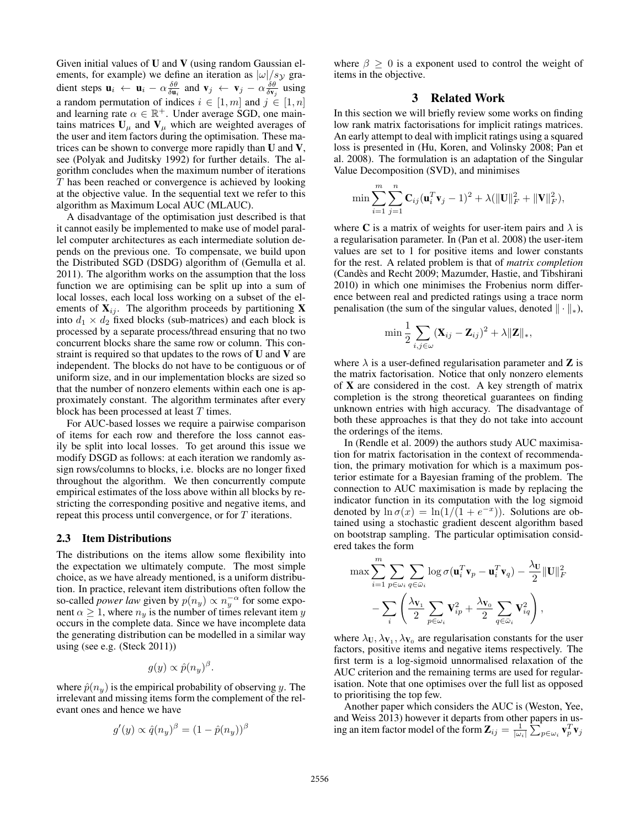Given initial values of U and V (using random Gaussian elements, for example) we define an iteration as  $|\omega|/s_y$  gradient steps  $\mathbf{u}_i \leftarrow \mathbf{u}_i - \alpha \frac{\delta \theta}{\delta \mathbf{u}_i}$  and  $\mathbf{v}_j \leftarrow \mathbf{v}_j - \alpha \frac{\delta \theta}{\delta \mathbf{v}_j}$  using a random permutation of indices  $i \in [1, m]$  and  $j \in [1, n]$ and learning rate  $\alpha \in \mathbb{R}^+$ . Under average SGD, one maintains matrices  $U_{\mu}$  and  $V_{\mu}$  which are weighted averages of the user and item factors during the optimisation. These matrices can be shown to converge more rapidly than U and V, see (Polyak and Juditsky 1992) for further details. The algorithm concludes when the maximum number of iterations T has been reached or convergence is achieved by looking at the objective value. In the sequential text we refer to this algorithm as Maximum Local AUC (MLAUC).

A disadvantage of the optimisation just described is that it cannot easily be implemented to make use of model parallel computer architectures as each intermediate solution depends on the previous one. To compensate, we build upon the Distributed SGD (DSDG) algorithm of (Gemulla et al. 2011). The algorithm works on the assumption that the loss function we are optimising can be split up into a sum of local losses, each local loss working on a subset of the elements of  $X_{ij}$ . The algorithm proceeds by partitioning X into  $d_1 \times d_2$  fixed blocks (sub-matrices) and each block is processed by a separate process/thread ensuring that no two concurrent blocks share the same row or column. This constraint is required so that updates to the rows of  $U$  and  $V$  are independent. The blocks do not have to be contiguous or of uniform size, and in our implementation blocks are sized so that the number of nonzero elements within each one is approximately constant. The algorithm terminates after every block has been processed at least  $T$  times.

For AUC-based losses we require a pairwise comparison of items for each row and therefore the loss cannot easily be split into local losses. To get around this issue we modify DSGD as follows: at each iteration we randomly assign rows/columns to blocks, i.e. blocks are no longer fixed throughout the algorithm. We then concurrently compute empirical estimates of the loss above within all blocks by restricting the corresponding positive and negative items, and repeat this process until convergence, or for T iterations.

#### 2.3 Item Distributions

The distributions on the items allow some flexibility into the expectation we ultimately compute. The most simple choice, as we have already mentioned, is a uniform distribution. In practice, relevant item distributions often follow the so-called *power law* given by  $p(n_y) \propto n_y^{-\alpha}$  for some exponent  $\alpha \geq 1$ , where  $n_y$  is the number of times relevant item y occurs in the complete data. Since we have incomplete data the generating distribution can be modelled in a similar way using (see e.g. (Steck 2011))

$$
g(y) \propto \hat{p}(n_y)^{\beta}.
$$

where  $\hat{p}(n_y)$  is the empirical probability of observing y. The irrelevant and missing items form the complement of the relevant ones and hence we have

$$
g'(y) \propto \hat{q}(n_y)^{\beta} = (1 - \hat{p}(n_y))^{\beta}
$$

where  $\beta \geq 0$  is a exponent used to control the weight of items in the objective.

## 3 Related Work

In this section we will briefly review some works on finding low rank matrix factorisations for implicit ratings matrices. An early attempt to deal with implicit ratings using a squared loss is presented in (Hu, Koren, and Volinsky 2008; Pan et al. 2008). The formulation is an adaptation of the Singular Value Decomposition (SVD), and minimises

$$
\min \sum_{i=1}^{m} \sum_{j=1}^{n} \mathbf{C}_{ij} (\mathbf{u}_{i}^{T} \mathbf{v}_{j} - 1)^{2} + \lambda (||\mathbf{U}||_{F}^{2} + ||\mathbf{V}||_{F}^{2}),
$$

where C is a matrix of weights for user-item pairs and  $\lambda$  is a regularisation parameter. In (Pan et al. 2008) the user-item values are set to 1 for positive items and lower constants for the rest. A related problem is that of *matrix completion* (Candes and Recht 2009; Mazumder, Hastie, and Tibshirani ` 2010) in which one minimises the Frobenius norm difference between real and predicted ratings using a trace norm penalisation (the sum of the singular values, denoted  $\|\cdot\|_*$ ),

$$
\min \frac{1}{2} \sum_{i,j \in \omega} (\mathbf{X}_{ij} - \mathbf{Z}_{ij})^2 + \lambda ||\mathbf{Z}||_*,
$$

where  $\lambda$  is a user-defined regularisation parameter and **Z** is the matrix factorisation. Notice that only nonzero elements of X are considered in the cost. A key strength of matrix completion is the strong theoretical guarantees on finding unknown entries with high accuracy. The disadvantage of both these approaches is that they do not take into account the orderings of the items.

In (Rendle et al. 2009) the authors study AUC maximisation for matrix factorisation in the context of recommendation, the primary motivation for which is a maximum posterior estimate for a Bayesian framing of the problem. The connection to AUC maximisation is made by replacing the indicator function in its computation with the log sigmoid denoted by  $\ln \sigma(x) = \ln(1/\tilde{(1} + e^{-x}))$ . Solutions are obtained using a stochastic gradient descent algorithm based on bootstrap sampling. The particular optimisation considered takes the form

$$
\max \sum_{i=1}^{m} \sum_{p \in \omega_i} \sum_{q \in \bar{\omega}_i} \log \sigma(\mathbf{u}_i^T \mathbf{v}_p - \mathbf{u}_i^T \mathbf{v}_q) - \frac{\lambda_U}{2} ||\mathbf{U}||_F^2
$$

$$
- \sum_{i} \left( \frac{\lambda_{\mathbf{V}_1}}{2} \sum_{p \in \omega_i} \mathbf{V}_{ip}^2 + \frac{\lambda_{\mathbf{V}_0}}{2} \sum_{q \in \bar{\omega}_i} \mathbf{V}_{iq}^2 \right),
$$

where  $\lambda_{\mathbf{U}}, \lambda_{\mathbf{V}_1}, \lambda_{\mathbf{V}_0}$  are regularisation constants for the user factors, positive items and negative items respectively. The first term is a log-sigmoid unnormalised relaxation of the AUC criterion and the remaining terms are used for regularisation. Note that one optimises over the full list as opposed to prioritising the top few.

Another paper which considers the AUC is (Weston, Yee, and Weiss 2013) however it departs from other papers in using an item factor model of the form  $\mathbf{Z}_{ij} = \frac{1}{|\omega_i|} \sum_{p \in \omega_i} \mathbf{v}_p^T \mathbf{v}_j$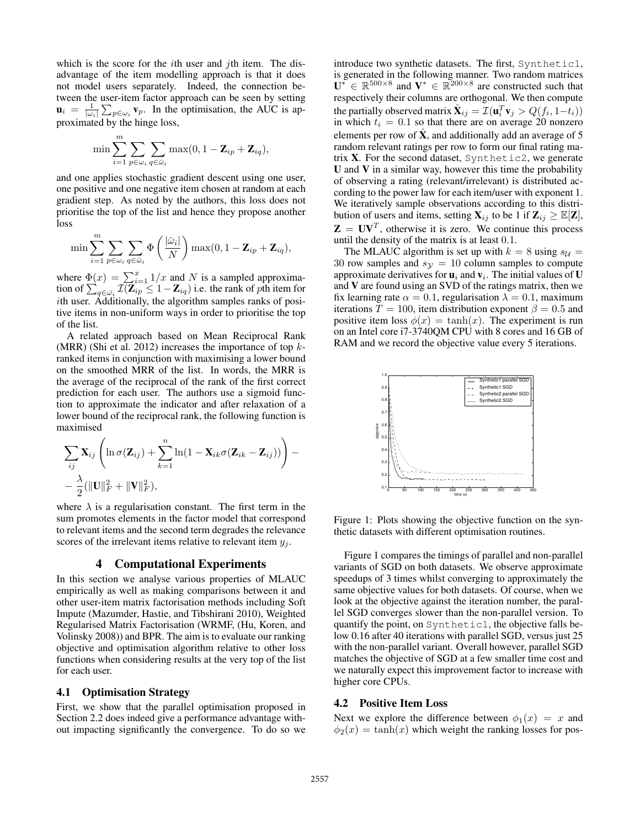which is the score for the  $i$ th user and  $j$ th item. The disadvantage of the item modelling approach is that it does not model users separately. Indeed, the connection between the user-item factor approach can be seen by setting  $\mathbf{u}_i = \frac{1}{|\omega_i|} \sum_{p \in \omega_i} \mathbf{v}_p$ . In the optimisation, the AUC is approximated by the hinge loss,

$$
\min \sum_{i=1}^m \sum_{p \in \omega_i} \sum_{q \in \bar{\omega}_i} \max(0, 1 - \mathbf{Z}_{ip} + \mathbf{Z}_{iq}),
$$

and one applies stochastic gradient descent using one user, one positive and one negative item chosen at random at each gradient step. As noted by the authors, this loss does not prioritise the top of the list and hence they propose another loss

$$
\min \sum_{i=1}^m \sum_{p \in \omega_i} \sum_{q \in \bar{\omega}_i} \Phi\left(\frac{|\bar{\omega}_i|}{N}\right) \max(0, 1 - \mathbf{Z}_{ip} + \mathbf{Z}_{iq}),
$$

where  $\Phi(x) = \sum_{i=1}^{x} 1/x$  and N is a sampled approximation of  $\sum_{q\in\bar{\omega_i}}\mathcal{I}(\mathbf{Z}_{ip}\leq 1-\mathbf{Z}_{iq})$  i.e. the rank of  $p$ th item for ith user. Additionally, the algorithm samples ranks of positive items in non-uniform ways in order to prioritise the top of the list.

A related approach based on Mean Reciprocal Rank (MRR) (Shi et al. 2012) increases the importance of top  $k$ ranked items in conjunction with maximising a lower bound on the smoothed MRR of the list. In words, the MRR is the average of the reciprocal of the rank of the first correct prediction for each user. The authors use a sigmoid function to approximate the indicator and after relaxation of a lower bound of the reciprocal rank, the following function is maximised

$$
\sum_{ij} \mathbf{X}_{ij} \left( \ln \sigma(\mathbf{Z}_{ij}) + \sum_{k=1}^{n} \ln(1 - \mathbf{X}_{ik} \sigma(\mathbf{Z}_{ik} - \mathbf{Z}_{ij})) \right) - \frac{\lambda}{2} (||\mathbf{U}||_F^2 + ||\mathbf{V}||_F^2),
$$

where  $\lambda$  is a regularisation constant. The first term in the sum promotes elements in the factor model that correspond to relevant items and the second term degrades the relevance scores of the irrelevant items relative to relevant item  $y_i$ .

## 4 Computational Experiments

In this section we analyse various properties of MLAUC empirically as well as making comparisons between it and other user-item matrix factorisation methods including Soft Impute (Mazumder, Hastie, and Tibshirani 2010), Weighted Regularised Matrix Factorisation (WRMF, (Hu, Koren, and Volinsky 2008)) and BPR. The aim is to evaluate our ranking objective and optimisation algorithm relative to other loss functions when considering results at the very top of the list for each user.

## 4.1 Optimisation Strategy

First, we show that the parallel optimisation proposed in Section 2.2 does indeed give a performance advantage without impacting significantly the convergence. To do so we introduce two synthetic datasets. The first, Synthetic1, is generated in the following manner. Two random matrices  $\mathbf{U}^* \in \mathbb{R}^{500 \times 8}$  and  $\mathbf{V}^* \in \mathbb{R}^{200 \times 8}$  are constructed such that respectively their columns are orthogonal. We then compute the partially observed matrix  $\hat{\mathbf{X}}_{ij} = \mathcal{I}(\mathbf{u}_i^T \mathbf{v}_j > Q(f_i, 1-t_i))$ in which  $t_i = 0.1$  so that there are on average 20 nonzero elements per row of  $X$ , and additionally add an average of 5 random relevant ratings per row to form our final rating matrix  $X$ . For the second dataset, Synthetic2, we generate U and V in a similar way, however this time the probability of observing a rating (relevant/irrelevant) is distributed according to the power law for each item/user with exponent 1. We iteratively sample observations according to this distribution of users and items, setting  $\mathbf{X}_{ij}$  to be 1 if  $\mathbf{Z}_{ij} \geq \mathbb{E}[\mathbf{Z}],$  $\mathbf{Z} = \mathbf{U}\mathbf{V}^T$ , otherwise it is zero. We continue this process until the density of the matrix is at least 0.1.

The MLAUC algorithm is set up with  $k = 8$  using  $s_{\mathcal{U}} =$ 30 row samples and  $s_y = 10$  column samples to compute approximate derivatives for  $\mathbf{u}_i$  and  $\mathbf{v}_i$ . The initial values of U and V are found using an SVD of the ratings matrix, then we fix learning rate  $\alpha = 0.1$ , regularisation  $\lambda = 0.1$ , maximum iterations  $T = 100$ , item distribution exponent  $\beta = 0.5$  and positive item loss  $\phi(x) = \tanh(x)$ . The experiment is run on an Intel core i7-3740QM CPU with 8 cores and 16 GB of RAM and we record the objective value every 5 iterations.



Figure 1: Plots showing the objective function on the synthetic datasets with different optimisation routines.

Figure 1 compares the timings of parallel and non-parallel variants of SGD on both datasets. We observe approximate speedups of 3 times whilst converging to approximately the same objective values for both datasets. Of course, when we look at the objective against the iteration number, the parallel SGD converges slower than the non-parallel version. To quantify the point, on Synthetic1, the objective falls below 0.16 after 40 iterations with parallel SGD, versus just 25 with the non-parallel variant. Overall however, parallel SGD matches the objective of SGD at a few smaller time cost and we naturally expect this improvement factor to increase with higher core CPUs.

### 4.2 Positive Item Loss

Next we explore the difference between  $\phi_1(x) = x$  and  $\phi_2(x) = \tanh(x)$  which weight the ranking losses for pos-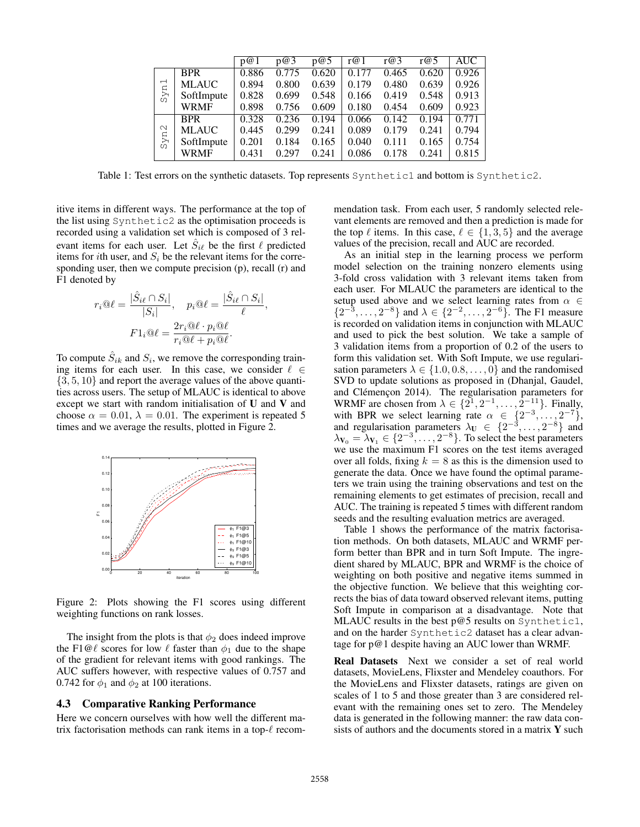|                                 |              | p@1   | p@3   | p@5   | r@1   | r@3   | r@5   | AUC   |
|---------------------------------|--------------|-------|-------|-------|-------|-------|-------|-------|
| $\overline{\phantom{0}}$<br>Syn | <b>BPR</b>   | 0.886 | 0.775 | 0.620 | 0.177 | 0.465 | 0.620 | 0.926 |
|                                 | <b>MLAUC</b> | 0.894 | 0.800 | 0.639 | 0.179 | 0.480 | 0.639 | 0.926 |
|                                 | SoftImpute   | 0.828 | 0.699 | 0.548 | 0.166 | 0.419 | 0.548 | 0.913 |
|                                 | <b>WRMF</b>  | 0.898 | 0.756 | 0.609 | 0.180 | 0.454 | 0.609 | 0.923 |
| Syn2                            | <b>BPR</b>   | 0.328 | 0.236 | 0.194 | 0.066 | 0.142 | 0.194 | 0.771 |
|                                 | <b>MLAUC</b> | 0.445 | 0.299 | 0.241 | 0.089 | 0.179 | 0.241 | 0.794 |
|                                 | SoftImpute   | 0.201 | 0.184 | 0.165 | 0.040 | 0.111 | 0.165 | 0.754 |
|                                 | <b>WRMF</b>  | 0.431 | 0.297 | 0.241 | 0.086 | 0.178 | 0.241 | 0.815 |

Table 1: Test errors on the synthetic datasets. Top represents Synthetic1 and bottom is Synthetic2.

,

itive items in different ways. The performance at the top of the list using Synthetic2 as the optimisation proceeds is recorded using a validation set which is composed of 3 relevant items for each user. Let  $\hat{S}_{i\ell}$  be the first  $\ell$  predicted items for *i*th user, and  $S_i$  be the relevant items for the corresponding user, then we compute precision (p), recall (r) and F1 denoted by

$$
r_i @ \ell = \frac{|\hat{S}_{i\ell} \cap S_i|}{|S_i|}, \quad p_i @ \ell = \frac{|\hat{S}_{i\ell} \cap S_i|}{\ell}
$$

$$
F1_i @ \ell = \frac{2r_i @ \ell \cdot p_i @ \ell}{r_i @ \ell + p_i @ \ell}.
$$

To compute  $\hat{S}_{ik}$  and  $S_i$ , we remove the corresponding training items for each user. In this case, we consider  $\ell \in$  $\{3, 5, 10\}$  and report the average values of the above quantities across users. The setup of MLAUC is identical to above except we start with random initialisation of U and V and choose  $\alpha = 0.01$ ,  $\lambda = 0.01$ . The experiment is repeated 5 times and we average the results, plotted in Figure 2.



Figure 2: Plots showing the F1 scores using different weighting functions on rank losses.

The insight from the plots is that  $\phi_2$  does indeed improve the F1@ $\ell$  scores for low  $\ell$  faster than  $\phi_1$  due to the shape of the gradient for relevant items with good rankings. The AUC suffers however, with respective values of 0.757 and 0.742 for  $\phi_1$  and  $\phi_2$  at 100 iterations.

### 4.3 Comparative Ranking Performance

Here we concern ourselves with how well the different matrix factorisation methods can rank items in a top- $\ell$  recommendation task. From each user, 5 randomly selected relevant elements are removed and then a prediction is made for the top  $\ell$  items. In this case,  $\ell \in \{1, 3, 5\}$  and the average values of the precision, recall and AUC are recorded.

As an initial step in the learning process we perform model selection on the training nonzero elements using 3-fold cross validation with 3 relevant items taken from each user. For MLAUC the parameters are identical to the setup used above and we select learning rates from  $\alpha \in$  $\{2^{-3}, \ldots, 2^{-8}\}$  and  $\lambda \in \{2^{-2}, \ldots, 2^{-6}\}$ . The F1 measure is recorded on validation items in conjunction with MLAUC and used to pick the best solution. We take a sample of 3 validation items from a proportion of 0.2 of the users to form this validation set. With Soft Impute, we use regularisation parameters  $\lambda \in \{1.0, 0.8, \dots, 0\}$  and the randomised SVD to update solutions as proposed in (Dhanjal, Gaudel, and Clémençon 2014). The regularisation parameters for WRMF are chosen from  $\lambda \in \{2^1, 2^{-1}, \dots, 2^{-11}\}.$  Finally, with BPR we select learning rate  $\alpha \in \{2^{-3}, \ldots, 2^{-7}\},$ and regularisation parameters  $\lambda_U \in \{2^{-3}, \ldots, 2^{-8}\}$  and  $\lambda_{V_0} = \lambda_{V_1} \in \{2^{-3}, \ldots, 2^{-8}\}.$  To select the best parameters we use the maximum F1 scores on the test items averaged over all folds, fixing  $k = 8$  as this is the dimension used to generate the data. Once we have found the optimal parameters we train using the training observations and test on the remaining elements to get estimates of precision, recall and AUC. The training is repeated 5 times with different random seeds and the resulting evaluation metrics are averaged.

Table 1 shows the performance of the matrix factorisation methods. On both datasets, MLAUC and WRMF perform better than BPR and in turn Soft Impute. The ingredient shared by MLAUC, BPR and WRMF is the choice of weighting on both positive and negative items summed in the objective function. We believe that this weighting corrects the bias of data toward observed relevant items, putting Soft Impute in comparison at a disadvantage. Note that MLAUC results in the best p@5 results on Synthetic1, and on the harder Synthetic2 dataset has a clear advantage for p@1 despite having an AUC lower than WRMF.

Real Datasets Next we consider a set of real world datasets, MovieLens, Flixster and Mendeley coauthors. For the MovieLens and Flixster datasets, ratings are given on scales of 1 to 5 and those greater than 3 are considered relevant with the remaining ones set to zero. The Mendeley data is generated in the following manner: the raw data consists of authors and the documents stored in a matrix  $\bf{Y}$  such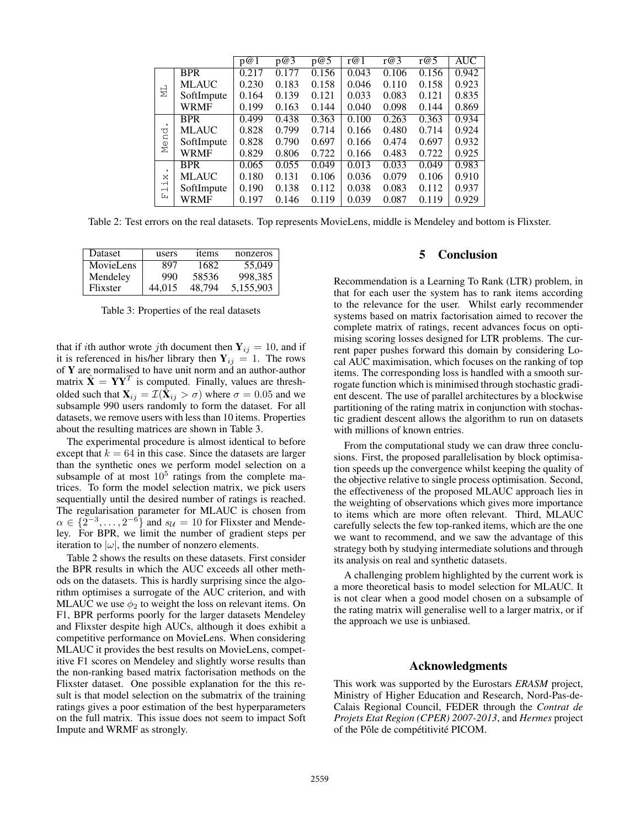|                                           |              | p@1   | p@3   | p@5   | r@1   | r@3   | r@5   | <b>AUC</b> |
|-------------------------------------------|--------------|-------|-------|-------|-------|-------|-------|------------|
| 님                                         | <b>BPR</b>   | 0.217 | 0.177 | 0.156 | 0.043 | 0.106 | 0.156 | 0.942      |
|                                           | <b>MLAUC</b> | 0.230 | 0.183 | 0.158 | 0.046 | 0.110 | 0.158 | 0.923      |
|                                           | SoftImpute   | 0.164 | 0.139 | 0.121 | 0.033 | 0.083 | 0.121 | 0.835      |
|                                           | <b>WRMF</b>  | 0.199 | 0.163 | 0.144 | 0.040 | 0.098 | 0.144 | 0.869      |
| て<br>Men                                  | <b>BPR</b>   | 0.499 | 0.438 | 0.363 | 0.100 | 0.263 | 0.363 | 0.934      |
|                                           | <b>MLAUC</b> | 0.828 | 0.799 | 0.714 | 0.166 | 0.480 | 0.714 | 0.924      |
|                                           | SoftImpute   | 0.828 | 0.790 | 0.697 | 0.166 | 0.474 | 0.697 | 0.932      |
|                                           | <b>WRMF</b>  | 0.829 | 0.806 | 0.722 | 0.166 | 0.483 | 0.722 | 0.925      |
| ×<br>∙⊣<br>$\overline{\phantom{0}}$<br>Ŀц | <b>BPR</b>   | 0.065 | 0.055 | 0.049 | 0.013 | 0.033 | 0.049 | 0.983      |
|                                           | <b>MLAUC</b> | 0.180 | 0.131 | 0.106 | 0.036 | 0.079 | 0.106 | 0.910      |
|                                           | SoftImpute   | 0.190 | 0.138 | 0.112 | 0.038 | 0.083 | 0.112 | 0.937      |
|                                           | WRMF         | 0.197 | 0.146 | 0.119 | 0.039 | 0.087 | 0.119 | 0.929      |

Table 2: Test errors on the real datasets. Top represents MovieLens, middle is Mendeley and bottom is Flixster.

| <b>Dataset</b> | users  | items  | nonzeros  |
|----------------|--------|--------|-----------|
| MovieLens      | 897    | 1682   | 55,049    |
| Mendeley       | 990    | 58536  | 998.385   |
| Flixster       | 44.015 | 48.794 | 5,155,903 |

Table 3: Properties of the real datasets

that if ith author wrote jth document then  $Y_{ij} = 10$ , and if it is referenced in his/her library then  $Y_{ij} = 1$ . The rows of Y are normalised to have unit norm and an author-author matrix  $\hat{\mathbf{X}} = \mathbf{Y}\mathbf{Y}^T$  is computed. Finally, values are thresholded such that  $\mathbf{X}_{ij} = \mathcal{I}(\hat{\mathbf{X}}_{ij} > \sigma)$  where  $\sigma = 0.05$  and we subsample 990 users randomly to form the dataset. For all datasets, we remove users with less than 10 items. Properties about the resulting matrices are shown in Table 3.

The experimental procedure is almost identical to before except that  $k = 64$  in this case. Since the datasets are larger than the synthetic ones we perform model selection on a subsample of at most  $10^5$  ratings from the complete matrices. To form the model selection matrix, we pick users sequentially until the desired number of ratings is reached. The regularisation parameter for MLAUC is chosen from  $\alpha \in \{2^{-3}, \ldots, 2^{-6}\}$  and  $s_{\mathcal{U}} = 10$  for Flixster and Mendeley. For BPR, we limit the number of gradient steps per iteration to  $|\omega|$ , the number of nonzero elements.

Table 2 shows the results on these datasets. First consider the BPR results in which the AUC exceeds all other methods on the datasets. This is hardly surprising since the algorithm optimises a surrogate of the AUC criterion, and with MLAUC we use  $\phi_2$  to weight the loss on relevant items. On F1, BPR performs poorly for the larger datasets Mendeley and Flixster despite high AUCs, although it does exhibit a competitive performance on MovieLens. When considering MLAUC it provides the best results on MovieLens, competitive F1 scores on Mendeley and slightly worse results than the non-ranking based matrix factorisation methods on the Flixster dataset. One possible explanation for the this result is that model selection on the submatrix of the training ratings gives a poor estimation of the best hyperparameters on the full matrix. This issue does not seem to impact Soft Impute and WRMF as strongly.

## 5 Conclusion

Recommendation is a Learning To Rank (LTR) problem, in that for each user the system has to rank items according to the relevance for the user. Whilst early recommender systems based on matrix factorisation aimed to recover the complete matrix of ratings, recent advances focus on optimising scoring losses designed for LTR problems. The current paper pushes forward this domain by considering Local AUC maximisation, which focuses on the ranking of top items. The corresponding loss is handled with a smooth surrogate function which is minimised through stochastic gradient descent. The use of parallel architectures by a blockwise partitioning of the rating matrix in conjunction with stochastic gradient descent allows the algorithm to run on datasets with millions of known entries.

From the computational study we can draw three conclusions. First, the proposed parallelisation by block optimisation speeds up the convergence whilst keeping the quality of the objective relative to single process optimisation. Second, the effectiveness of the proposed MLAUC approach lies in the weighting of observations which gives more importance to items which are more often relevant. Third, MLAUC carefully selects the few top-ranked items, which are the one we want to recommend, and we saw the advantage of this strategy both by studying intermediate solutions and through its analysis on real and synthetic datasets.

A challenging problem highlighted by the current work is a more theoretical basis to model selection for MLAUC. It is not clear when a good model chosen on a subsample of the rating matrix will generalise well to a larger matrix, or if the approach we use is unbiased.

## Acknowledgments

This work was supported by the Eurostars *ERASM* project, Ministry of Higher Education and Research, Nord-Pas-de-Calais Regional Council, FEDER through the *Contrat de Projets Etat Region (CPER) 2007-2013*, and *Hermes* project of the Pôle de compétitivité PICOM.